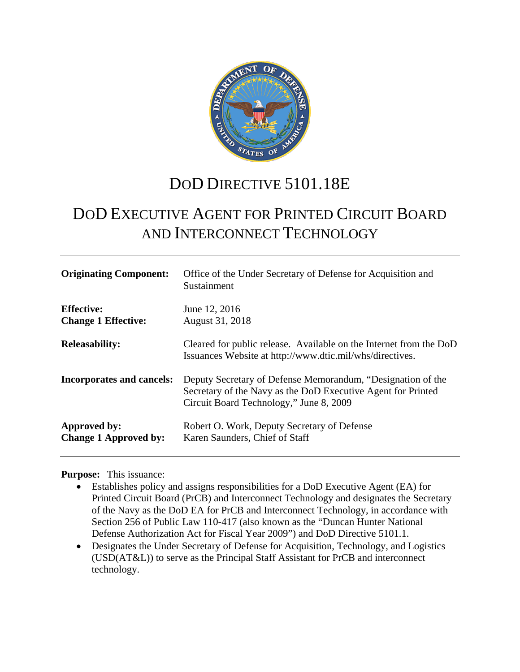

# DOD DIRECTIVE 5101.18E

# DOD EXECUTIVE AGENT FOR PRINTED CIRCUIT BOARD AND INTERCONNECT TECHNOLOGY

| <b>Originating Component:</b>                   | Office of the Under Secretary of Defense for Acquisition and<br>Sustainment                                                                                            |
|-------------------------------------------------|------------------------------------------------------------------------------------------------------------------------------------------------------------------------|
| <b>Effective:</b><br><b>Change 1 Effective:</b> | June 12, 2016<br>August 31, 2018                                                                                                                                       |
| <b>Releasability:</b>                           | Cleared for public release. Available on the Internet from the DoD<br>Issuances Website at http://www.dtic.mil/whs/directives.                                         |
| <b>Incorporates and cancels:</b>                | Deputy Secretary of Defense Memorandum, "Designation of the<br>Secretary of the Navy as the DoD Executive Agent for Printed<br>Circuit Board Technology," June 8, 2009 |
| Approved by:<br><b>Change 1 Approved by:</b>    | Robert O. Work, Deputy Secretary of Defense<br>Karen Saunders, Chief of Staff                                                                                          |

#### **Purpose:** This issuance:

- Establishes policy and assigns responsibilities for a DoD Executive Agent (EA) for Printed Circuit Board (PrCB) and Interconnect Technology and designates the Secretary of the Navy as the DoD EA for PrCB and Interconnect Technology, in accordance with Section 256 of Public Law 110-417 (also known as the "Duncan Hunter National Defense Authorization Act for Fiscal Year 2009") and DoD Directive 5101.1.
- Designates the Under Secretary of Defense for Acquisition, Technology, and Logistics (USD(AT&L)) to serve as the Principal Staff Assistant for PrCB and interconnect technology.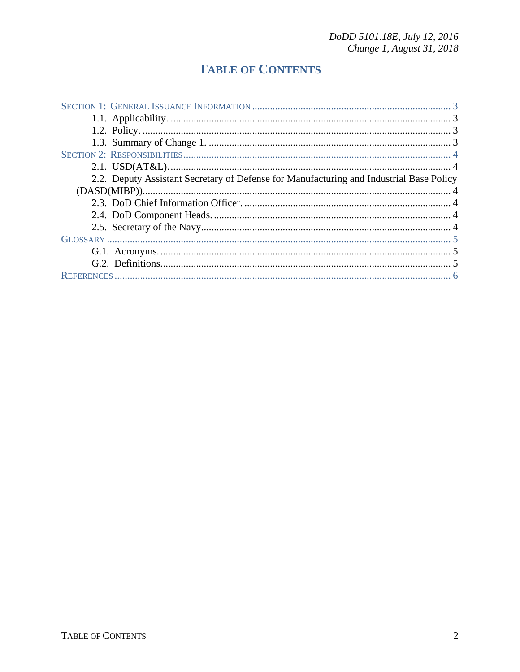## **TABLE OF CONTENTS**

| 2.2. Deputy Assistant Secretary of Defense for Manufacturing and Industrial Base Policy |  |
|-----------------------------------------------------------------------------------------|--|
|                                                                                         |  |
|                                                                                         |  |
|                                                                                         |  |
|                                                                                         |  |
|                                                                                         |  |
|                                                                                         |  |
|                                                                                         |  |
|                                                                                         |  |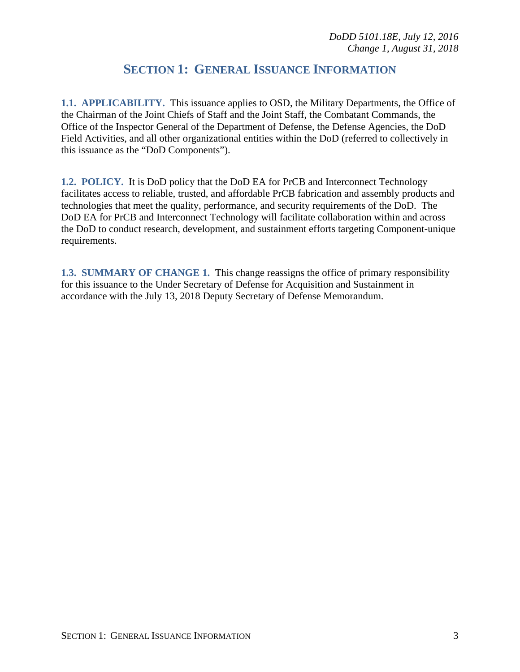## **SECTION 1: GENERAL ISSUANCE INFORMATION**

**1.1. APPLICABILITY.** This issuance applies to OSD, the Military Departments, the Office of the Chairman of the Joint Chiefs of Staff and the Joint Staff, the Combatant Commands, the Office of the Inspector General of the Department of Defense, the Defense Agencies, the DoD Field Activities, and all other organizational entities within the DoD (referred to collectively in this issuance as the "DoD Components").

**1.2. POLICY.** It is DoD policy that the DoD EA for PrCB and Interconnect Technology facilitates access to reliable, trusted, and affordable PrCB fabrication and assembly products and technologies that meet the quality, performance, and security requirements of the DoD. The DoD EA for PrCB and Interconnect Technology will facilitate collaboration within and across the DoD to conduct research, development, and sustainment efforts targeting Component-unique requirements.

**1.3. SUMMARY OF CHANGE 1.** This change reassigns the office of primary responsibility for this issuance to the Under Secretary of Defense for Acquisition and Sustainment in accordance with the July 13, 2018 Deputy Secretary of Defense Memorandum.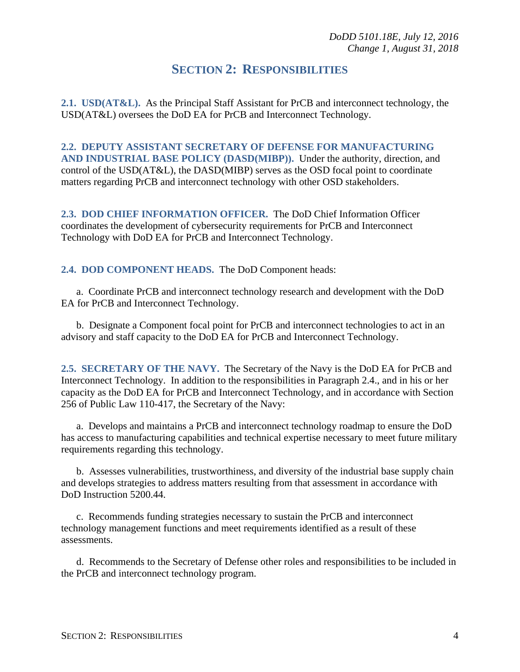#### **SECTION 2: RESPONSIBILITIES**

**2.1. USD(AT&L).** As the Principal Staff Assistant for PrCB and interconnect technology, the USD(AT&L) oversees the DoD EA for PrCB and Interconnect Technology.

**2.2. DEPUTY ASSISTANT SECRETARY OF DEFENSE FOR MANUFACTURING AND INDUSTRIAL BASE POLICY (DASD(MIBP)).** Under the authority, direction, and control of the USD(AT&L), the DASD(MIBP) serves as the OSD focal point to coordinate matters regarding PrCB and interconnect technology with other OSD stakeholders.

**2.3. DOD CHIEF INFORMATION OFFICER.** The DoD Chief Information Officer coordinates the development of cybersecurity requirements for PrCB and Interconnect Technology with DoD EA for PrCB and Interconnect Technology.

**2.4. DOD COMPONENT HEADS.** The DoD Component heads:

a. Coordinate PrCB and interconnect technology research and development with the DoD EA for PrCB and Interconnect Technology.

b. Designate a Component focal point for PrCB and interconnect technologies to act in an advisory and staff capacity to the DoD EA for PrCB and Interconnect Technology.

**2.5. SECRETARY OF THE NAVY.** The Secretary of the Navy is the DoD EA for PrCB and Interconnect Technology. In addition to the responsibilities in Paragraph 2.4., and in his or her capacity as the DoD EA for PrCB and Interconnect Technology, and in accordance with Section 256 of Public Law 110-417, the Secretary of the Navy:

a. Develops and maintains a PrCB and interconnect technology roadmap to ensure the DoD has access to manufacturing capabilities and technical expertise necessary to meet future military requirements regarding this technology.

b. Assesses vulnerabilities, trustworthiness, and diversity of the industrial base supply chain and develops strategies to address matters resulting from that assessment in accordance with DoD Instruction 5200.44.

c. Recommends funding strategies necessary to sustain the PrCB and interconnect technology management functions and meet requirements identified as a result of these assessments.

d. Recommends to the Secretary of Defense other roles and responsibilities to be included in the PrCB and interconnect technology program.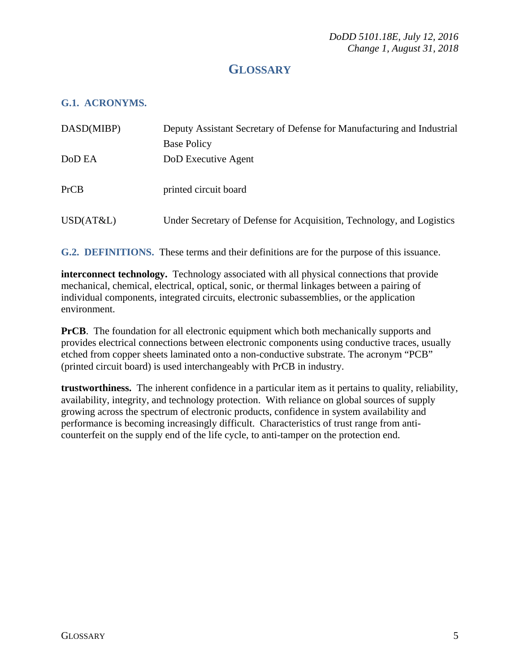### **GLOSSARY**

#### **G.1. ACRONYMS.**

| DASD(MIBP) | Deputy Assistant Secretary of Defense for Manufacturing and Industrial |
|------------|------------------------------------------------------------------------|
|            | <b>Base Policy</b>                                                     |
| DoD EA     | DoD Executive Agent                                                    |
|            |                                                                        |
| PrCB       | printed circuit board                                                  |
|            |                                                                        |
| USD(AT&L)  | Under Secretary of Defense for Acquisition, Technology, and Logistics  |
|            |                                                                        |

**G.2. DEFINITIONS.** These terms and their definitions are for the purpose of this issuance.

**interconnect technology.** Technology associated with all physical connections that provide mechanical, chemical, electrical, optical, sonic, or thermal linkages between a pairing of individual components, integrated circuits, electronic subassemblies, or the application environment.

**PrCB**. The foundation for all electronic equipment which both mechanically supports and provides electrical connections between electronic components using conductive traces, usually etched from copper sheets laminated onto a non-conductive substrate. The acronym "PCB" (printed circuit board) is used interchangeably with PrCB in industry.

**trustworthiness.** The inherent confidence in a particular item as it pertains to quality, reliability, availability, integrity, and technology protection. With reliance on global sources of supply growing across the spectrum of electronic products, confidence in system availability and performance is becoming increasingly difficult. Characteristics of trust range from anticounterfeit on the supply end of the life cycle, to anti-tamper on the protection end.